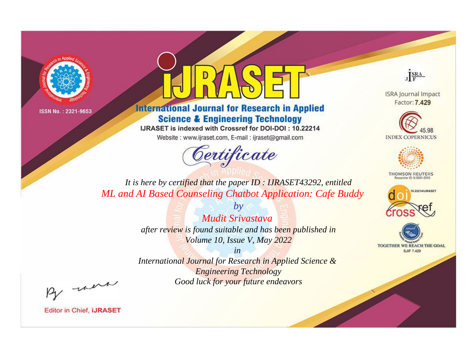



**International Journal for Research in Applied Science & Engineering Technology** 

IJRASET is indexed with Crossref for DOI-DOI: 10.22214

Website: www.ijraset.com, E-mail: ijraset@gmail.com



JERA

**ISRA Journal Impact** Factor: 7.429





**THOMSON REUTERS** 



TOGETHER WE REACH THE GOAL **SJIF 7.429** 

*It is here by certified that the paper ID : IJRASET43292, entitled ML and AI Based Counseling Chatbot Application: Cafe Buddy*

> *by Mudit Srivastava after review is found suitable and has been published in Volume 10, Issue V, May 2022*

> > *in*

*International Journal for Research in Applied Science & Engineering Technology Good luck for your future endeavors*

By morn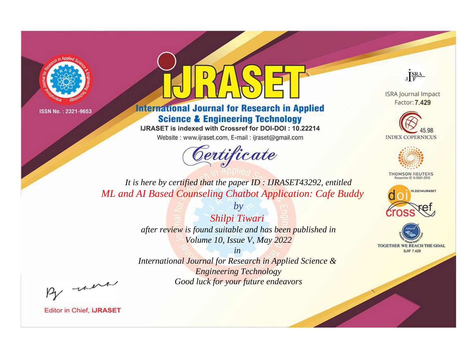



**International Journal for Research in Applied Science & Engineering Technology** 

IJRASET is indexed with Crossref for DOI-DOI: 10.22214

Website: www.ijraset.com, E-mail: ijraset@gmail.com



JERA

**ISRA Journal Impact** Factor: 7.429





**THOMSON REUTERS** 



TOGETHER WE REACH THE GOAL **SJIF 7.429** 

*It is here by certified that the paper ID : IJRASET43292, entitled ML and AI Based Counseling Chatbot Application: Cafe Buddy*

> *by Shilpi Tiwari after review is found suitable and has been published in Volume 10, Issue V, May 2022*

> > *in*

*International Journal for Research in Applied Science & Engineering Technology Good luck for your future endeavors*

By morn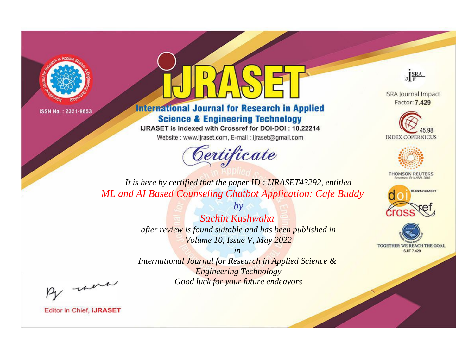



**International Journal for Research in Applied Science & Engineering Technology** 

IJRASET is indexed with Crossref for DOI-DOI: 10.22214

Website: www.ijraset.com, E-mail: ijraset@gmail.com



JERA

**ISRA Journal Impact** Factor: 7.429





**THOMSON REUTERS** 



TOGETHER WE REACH THE GOAL **SJIF 7.429** 

*It is here by certified that the paper ID : IJRASET43292, entitled ML and AI Based Counseling Chatbot Application: Cafe Buddy*

> *by Sachin Kushwaha after review is found suitable and has been published in Volume 10, Issue V, May 2022*

> > *in*

*International Journal for Research in Applied Science & Engineering Technology Good luck for your future endeavors*

By morn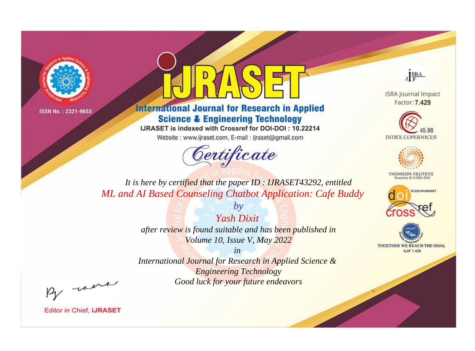



**International Journal for Research in Applied Science & Engineering Technology** 

IJRASET is indexed with Crossref for DOI-DOI: 10.22214

Website: www.ijraset.com, E-mail: ijraset@gmail.com



JERA

**ISRA Journal Impact** Factor: 7.429





**THOMSON REUTERS** 



TOGETHER WE REACH THE GOAL **SJIF 7.429** 

*It is here by certified that the paper ID : IJRASET43292, entitled ML and AI Based Counseling Chatbot Application: Cafe Buddy*

> *Yash Dixit after review is found suitable and has been published in Volume 10, Issue V, May 2022*

*by*

*in* 

*International Journal for Research in Applied Science & Engineering Technology Good luck for your future endeavors*

By morn